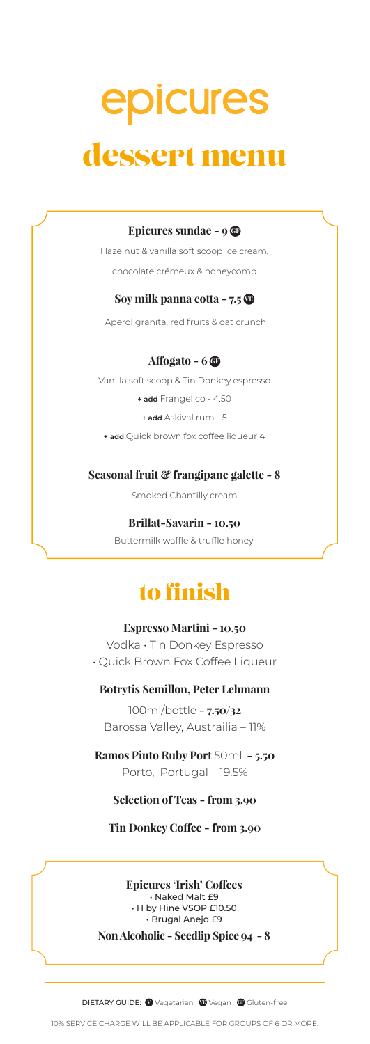# epicures dessert menu

#### **Epicures sundae - 9**  $\circledcirc$

Hazelnut & vanilla soft scoop ice cream, chocolate crémeux & honeycomb

#### **Soy milk panna cotta - 7.5**  $\Phi$

Aperol granita, red fruits & oat crunch

#### **Affogato - 6**  $\bullet$

Vanilla soft scoop & Tin Donkey espresso

**+ add** Frangelico - 4.50

**+ add** Askival rum - 5

**+ add** Quick brown fox coffee liqueur 4

#### **Seasonal fruit & frangipane galette - 8**

Smoked Chantilly cream

#### **Brillat-Savarin - 10.50**

Buttermilk waffle & truffle honey

### to finish

#### **Espresso Martini - 10.50**

Vodka • Tin Donkey Espresso • Quick Brown Fox Coffee Liqueur

#### **Botrytis Semillon, Peter Lehmann**

100ml/bottle **- 7.50/32** Barossa Valley, Austrailia – 11%

**Ramos Pinto Ruby Port** 50ml **- 5.50** Porto, Portugal – 19.5%

#### **Selection of Teas - from 3.90**

**Tin Donkey Coffee - from 3.90**

**Epicures 'Irish' Coffees**  • Naked Malt £9 • H by Hine VSOP £10.50 • Brugal Anejo £9

**Non Alcoholic - Seedlip Spice 94 - 8**

**DIETARY GUIDE: Wegetarian @Vegan @Gluten-free**